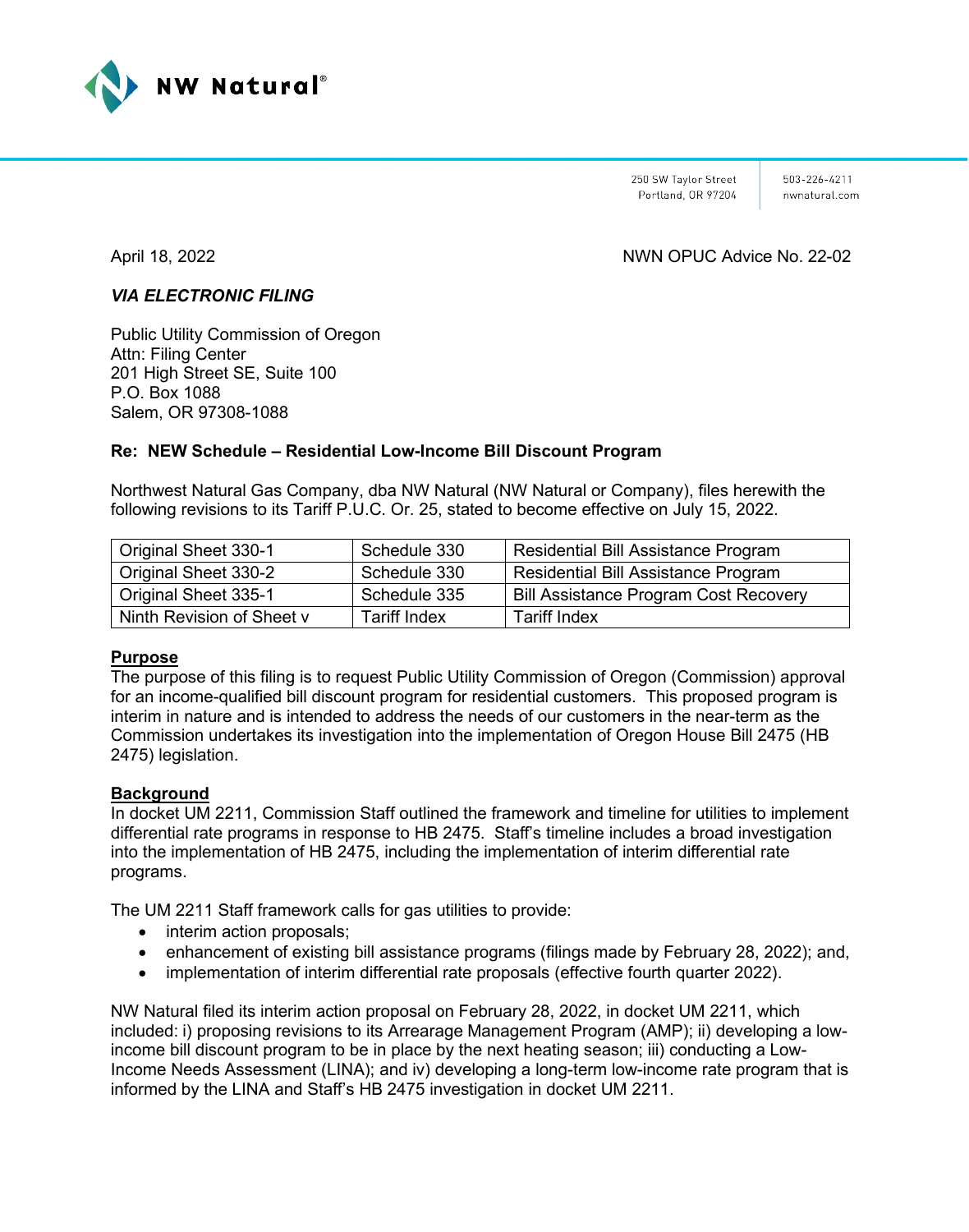

250 SW Taylor Street Portland, OR 97204 503-226-4211 nwnatural com

# April 18, 2022 NWN OPUC Advice No. 22-02

# *VIA ELECTRONIC FILING*

Public Utility Commission of Oregon Attn: Filing Center 201 High Street SE, Suite 100 P.O. Box 1088 Salem, OR 97308-1088

# **Re: NEW Schedule – Residential Low-Income Bill Discount Program**

Northwest Natural Gas Company, dba NW Natural (NW Natural or Company), files herewith the following revisions to its Tariff P.U.C. Or. 25, stated to become effective on July 15, 2022.

| Original Sheet 330-1      | Schedule 330        | Residential Bill Assistance Program          |
|---------------------------|---------------------|----------------------------------------------|
| Original Sheet 330-2      | Schedule 330        | Residential Bill Assistance Program          |
| Original Sheet 335-1      | Schedule 335        | <b>Bill Assistance Program Cost Recovery</b> |
| Ninth Revision of Sheet v | <b>Tariff Index</b> | <b>Tariff Index</b>                          |

#### **Purpose**

The purpose of this filing is to request Public Utility Commission of Oregon (Commission) approval for an income-qualified bill discount program for residential customers. This proposed program is interim in nature and is intended to address the needs of our customers in the near-term as the Commission undertakes its investigation into the implementation of Oregon House Bill 2475 (HB 2475) legislation.

# **Background**

In docket UM 2211, Commission Staff outlined the framework and timeline for utilities to implement differential rate programs in response to HB 2475. Staff's timeline includes a broad investigation into the implementation of HB 2475, including the implementation of interim differential rate programs.

The UM 2211 Staff framework calls for gas utilities to provide:

- interim action proposals;
- enhancement of existing bill assistance programs (filings made by February 28, 2022); and,
- implementation of interim differential rate proposals (effective fourth quarter 2022).

NW Natural filed its interim action proposal on February 28, 2022, in docket UM 2211, which included: i) proposing revisions to its Arrearage Management Program (AMP); ii) developing a lowincome bill discount program to be in place by the next heating season; iii) conducting a Low-Income Needs Assessment (LINA); and iv) developing a long-term low-income rate program that is informed by the LINA and Staff's HB 2475 investigation in docket UM 2211.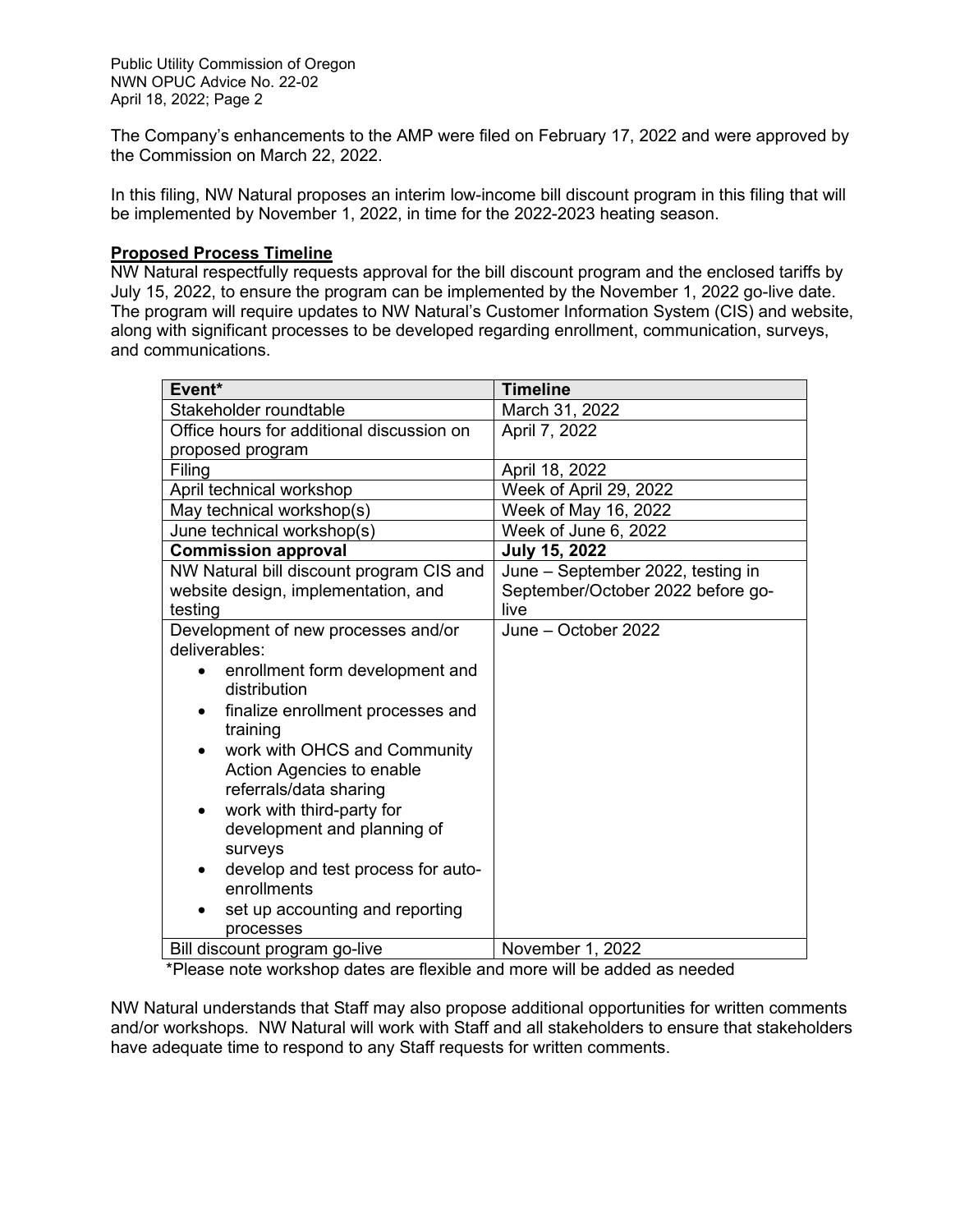The Company's enhancements to the AMP were filed on February 17, 2022 and were approved by the Commission on March 22, 2022.

In this filing, NW Natural proposes an interim low-income bill discount program in this filing that will be implemented by November 1, 2022, in time for the 2022-2023 heating season.

#### **Proposed Process Timeline**

NW Natural respectfully requests approval for the bill discount program and the enclosed tariffs by July 15, 2022, to ensure the program can be implemented by the November 1, 2022 go-live date. The program will require updates to NW Natural's Customer Information System (CIS) and website, along with significant processes to be developed regarding enrollment, communication, surveys, and communications.

| Event*                                       | <b>Timeline</b>                   |  |
|----------------------------------------------|-----------------------------------|--|
| Stakeholder roundtable                       | March 31, 2022                    |  |
| Office hours for additional discussion on    | April 7, 2022                     |  |
| proposed program                             |                                   |  |
| Filing                                       | April 18, 2022                    |  |
| April technical workshop                     | Week of April 29, 2022            |  |
| May technical workshop(s)                    | Week of May 16, 2022              |  |
| June technical workshop(s)                   | Week of June 6, 2022              |  |
| <b>Commission approval</b>                   | <b>July 15, 2022</b>              |  |
| NW Natural bill discount program CIS and     | June - September 2022, testing in |  |
| website design, implementation, and          | September/October 2022 before go- |  |
| testing                                      | live                              |  |
| Development of new processes and/or          | June - October 2022               |  |
| deliverables:                                |                                   |  |
| enrollment form development and<br>$\bullet$ |                                   |  |
| distribution                                 |                                   |  |
| finalize enrollment processes and            |                                   |  |
| training                                     |                                   |  |
| work with OHCS and Community                 |                                   |  |
| Action Agencies to enable                    |                                   |  |
| referrals/data sharing                       |                                   |  |
| work with third-party for<br>٠               |                                   |  |
| development and planning of                  |                                   |  |
| surveys                                      |                                   |  |
| develop and test process for auto-<br>٠      |                                   |  |
| enrollments                                  |                                   |  |
| set up accounting and reporting              |                                   |  |
| processes                                    |                                   |  |
| Bill discount program go-live                | November 1, 2022                  |  |

\*Please note workshop dates are flexible and more will be added as needed

NW Natural understands that Staff may also propose additional opportunities for written comments and/or workshops. NW Natural will work with Staff and all stakeholders to ensure that stakeholders have adequate time to respond to any Staff requests for written comments.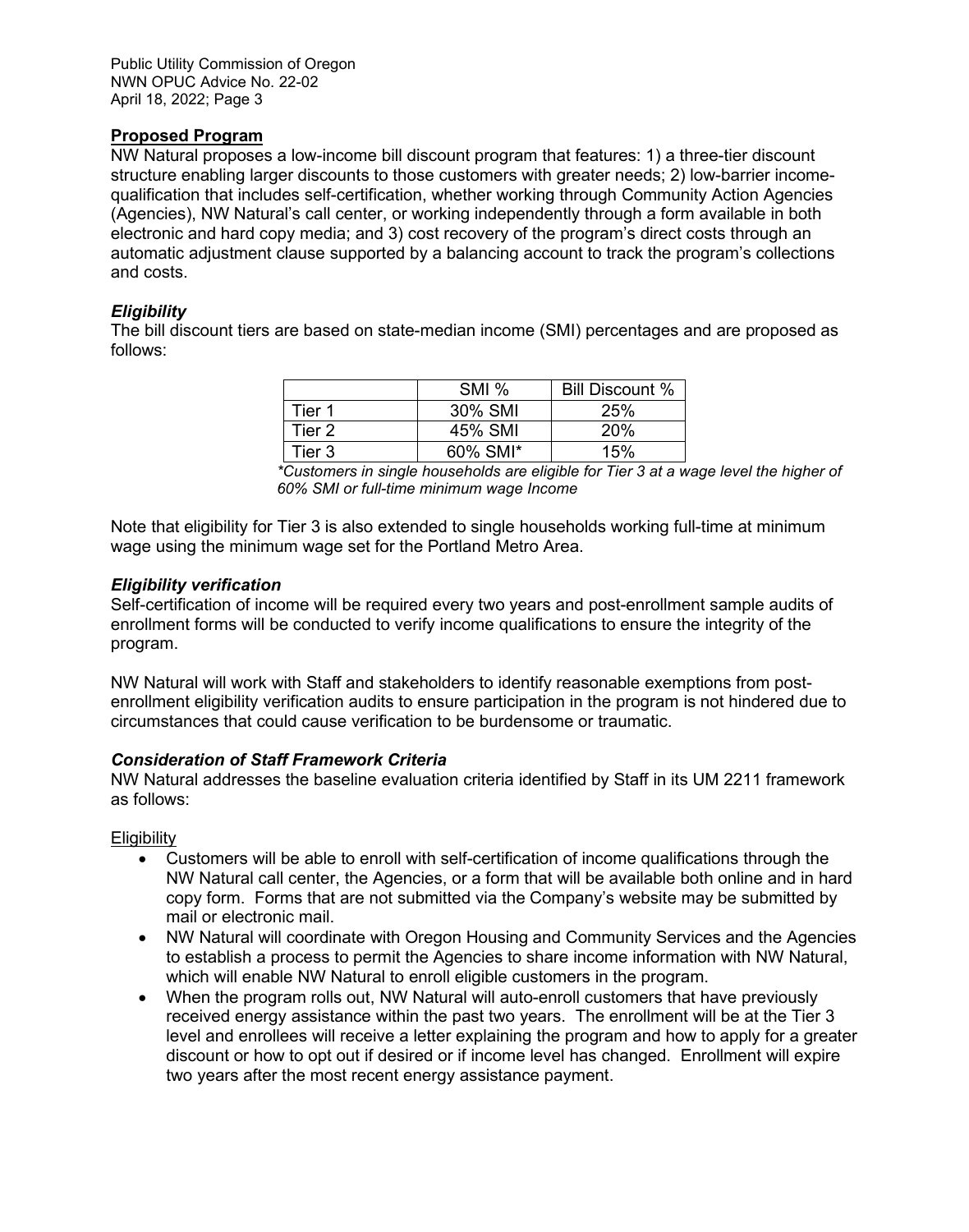Public Utility Commission of Oregon NWN OPUC Advice No. 22-02 April 18, 2022; Page 3

#### **Proposed Program**

NW Natural proposes a low-income bill discount program that features: 1) a three-tier discount structure enabling larger discounts to those customers with greater needs; 2) low-barrier incomequalification that includes self-certification, whether working through Community Action Agencies (Agencies), NW Natural's call center, or working independently through a form available in both electronic and hard copy media; and 3) cost recovery of the program's direct costs through an automatic adjustment clause supported by a balancing account to track the program's collections and costs.

#### *Eligibility*

The bill discount tiers are based on state-median income (SMI) percentages and are proposed as follows:

|        | SMI <sub>%</sub> | Bill Discount % |
|--------|------------------|-----------------|
| Tier 1 | 30% SMI          | 25%             |
| Tier 2 | 45% SMI          | <b>20%</b>      |
| Tier 3 | 60% SMI*         | 15%             |

*\*Customers in single households are eligible for Tier 3 at a wage level the higher of 60% SMI or full-time minimum wage Income*

Note that eligibility for Tier 3 is also extended to single households working full-time at minimum wage using the minimum wage set for the Portland Metro Area.

#### *Eligibility verification*

Self-certification of income will be required every two years and post-enrollment sample audits of enrollment forms will be conducted to verify income qualifications to ensure the integrity of the program.

NW Natural will work with Staff and stakeholders to identify reasonable exemptions from postenrollment eligibility verification audits to ensure participation in the program is not hindered due to circumstances that could cause verification to be burdensome or traumatic.

# *Consideration of Staff Framework Criteria*

NW Natural addresses the baseline evaluation criteria identified by Staff in its UM 2211 framework as follows:

**Eligibility** 

- Customers will be able to enroll with self-certification of income qualifications through the NW Natural call center, the Agencies, or a form that will be available both online and in hard copy form. Forms that are not submitted via the Company's website may be submitted by mail or electronic mail.
- NW Natural will coordinate with Oregon Housing and Community Services and the Agencies to establish a process to permit the Agencies to share income information with NW Natural, which will enable NW Natural to enroll eligible customers in the program.
- When the program rolls out, NW Natural will auto-enroll customers that have previously received energy assistance within the past two years. The enrollment will be at the Tier 3 level and enrollees will receive a letter explaining the program and how to apply for a greater discount or how to opt out if desired or if income level has changed. Enrollment will expire two years after the most recent energy assistance payment.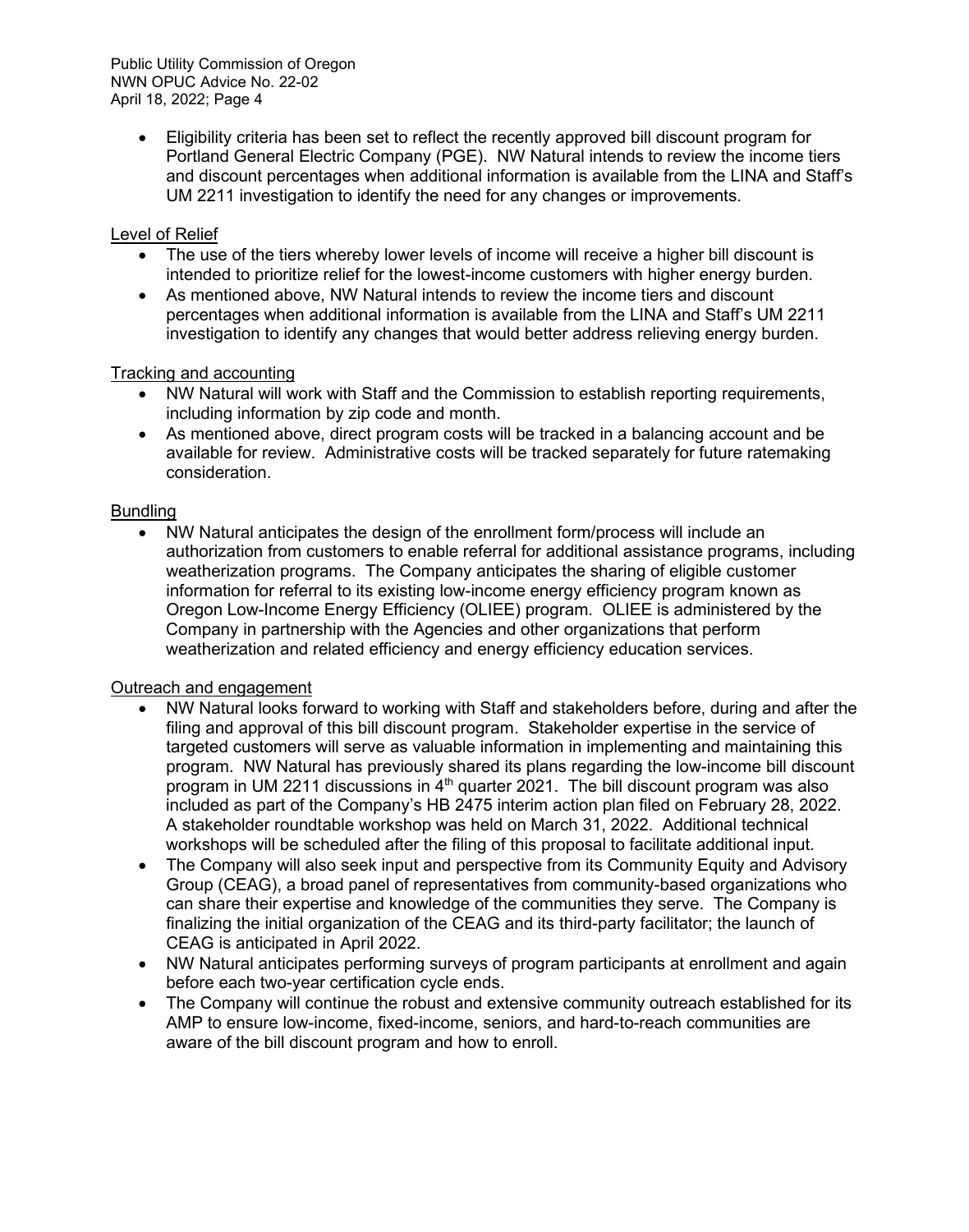Public Utility Commission of Oregon NWN OPUC Advice No. 22-02 April 18, 2022; Page 4

> • Eligibility criteria has been set to reflect the recently approved bill discount program for Portland General Electric Company (PGE). NW Natural intends to review the income tiers and discount percentages when additional information is available from the LINA and Staff's UM 2211 investigation to identify the need for any changes or improvements.

# Level of Relief

- The use of the tiers whereby lower levels of income will receive a higher bill discount is intended to prioritize relief for the lowest-income customers with higher energy burden.
- As mentioned above, NW Natural intends to review the income tiers and discount percentages when additional information is available from the LINA and Staff's UM 2211 investigation to identify any changes that would better address relieving energy burden.

# Tracking and accounting

- NW Natural will work with Staff and the Commission to establish reporting requirements, including information by zip code and month.
- As mentioned above, direct program costs will be tracked in a balancing account and be available for review. Administrative costs will be tracked separately for future ratemaking consideration.

# **Bundling**

• NW Natural anticipates the design of the enrollment form/process will include an authorization from customers to enable referral for additional assistance programs, including weatherization programs. The Company anticipates the sharing of eligible customer information for referral to its existing low-income energy efficiency program known as Oregon Low-Income Energy Efficiency (OLIEE) program. OLIEE is administered by the Company in partnership with the Agencies and other organizations that perform weatherization and related efficiency and energy efficiency education services.

# Outreach and engagement

- NW Natural looks forward to working with Staff and stakeholders before, during and after the filing and approval of this bill discount program. Stakeholder expertise in the service of targeted customers will serve as valuable information in implementing and maintaining this program. NW Natural has previously shared its plans regarding the low-income bill discount program in UM 2211 discussions in  $4<sup>th</sup>$  quarter 2021. The bill discount program was also included as part of the Company's HB 2475 interim action plan filed on February 28, 2022. A stakeholder roundtable workshop was held on March 31, 2022. Additional technical workshops will be scheduled after the filing of this proposal to facilitate additional input.
- The Company will also seek input and perspective from its Community Equity and Advisory Group (CEAG), a broad panel of representatives from community-based organizations who can share their expertise and knowledge of the communities they serve. The Company is finalizing the initial organization of the CEAG and its third-party facilitator; the launch of CEAG is anticipated in April 2022.
- NW Natural anticipates performing surveys of program participants at enrollment and again before each two-year certification cycle ends.
- The Company will continue the robust and extensive community outreach established for its AMP to ensure low-income, fixed-income, seniors, and hard-to-reach communities are aware of the bill discount program and how to enroll.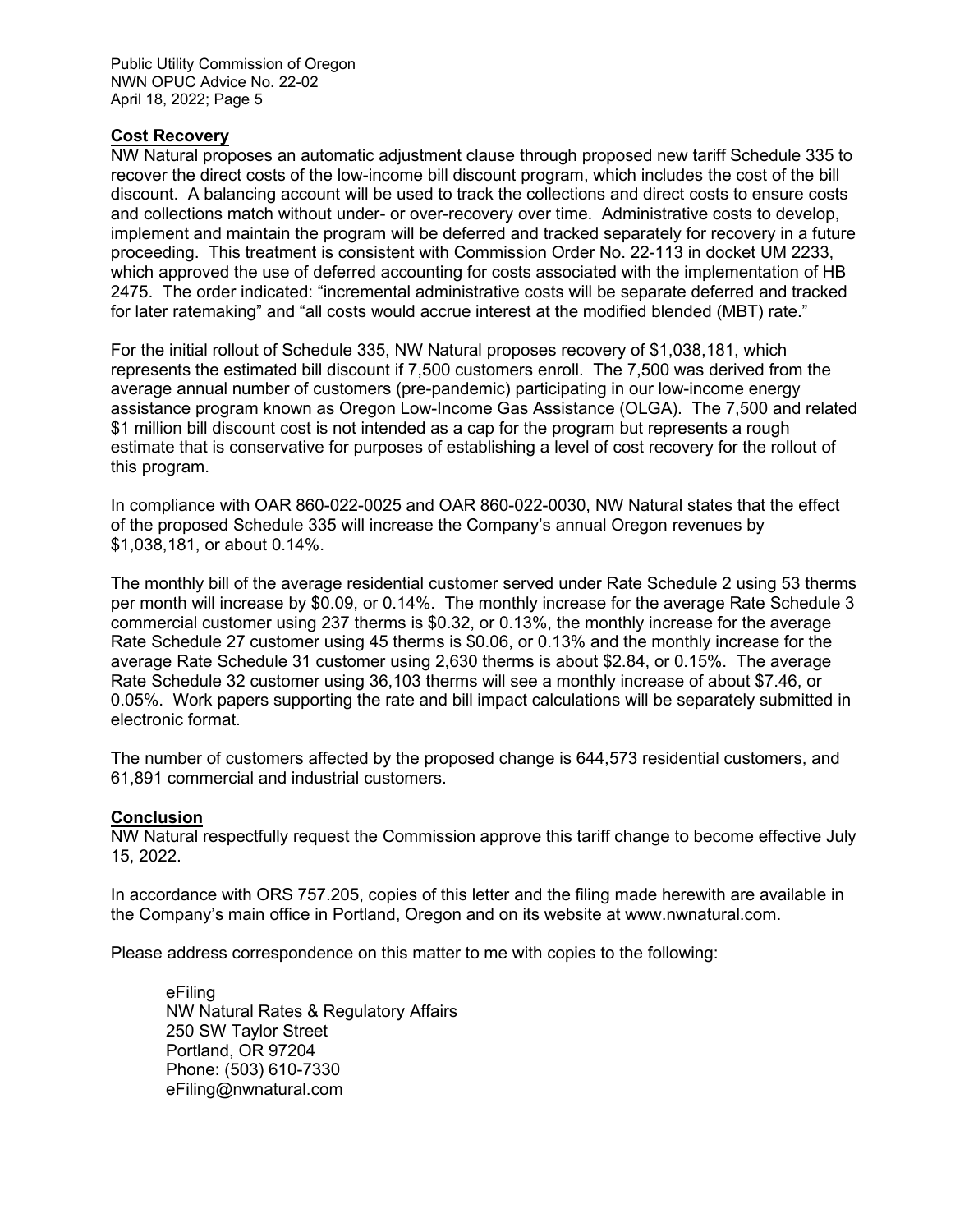Public Utility Commission of Oregon NWN OPUC Advice No. 22-02 April 18, 2022; Page 5

#### **Cost Recovery**

NW Natural proposes an automatic adjustment clause through proposed new tariff Schedule 335 to recover the direct costs of the low-income bill discount program, which includes the cost of the bill discount. A balancing account will be used to track the collections and direct costs to ensure costs and collections match without under- or over-recovery over time. Administrative costs to develop, implement and maintain the program will be deferred and tracked separately for recovery in a future proceeding. This treatment is consistent with Commission Order No. 22-113 in docket UM 2233, which approved the use of deferred accounting for costs associated with the implementation of HB 2475. The order indicated: "incremental administrative costs will be separate deferred and tracked for later ratemaking" and "all costs would accrue interest at the modified blended (MBT) rate."

For the initial rollout of Schedule 335, NW Natural proposes recovery of \$1,038,181, which represents the estimated bill discount if 7,500 customers enroll. The 7,500 was derived from the average annual number of customers (pre-pandemic) participating in our low-income energy assistance program known as Oregon Low-Income Gas Assistance (OLGA). The 7,500 and related \$1 million bill discount cost is not intended as a cap for the program but represents a rough estimate that is conservative for purposes of establishing a level of cost recovery for the rollout of this program.

In compliance with OAR 860-022-0025 and OAR 860-022-0030, NW Natural states that the effect of the proposed Schedule 335 will increase the Company's annual Oregon revenues by \$1,038,181, or about 0.14%.

The monthly bill of the average residential customer served under Rate Schedule 2 using 53 therms per month will increase by \$0.09, or 0.14%. The monthly increase for the average Rate Schedule 3 commercial customer using 237 therms is \$0.32, or 0.13%, the monthly increase for the average Rate Schedule 27 customer using 45 therms is \$0.06, or 0.13% and the monthly increase for the average Rate Schedule 31 customer using 2,630 therms is about \$2.84, or 0.15%. The average Rate Schedule 32 customer using 36,103 therms will see a monthly increase of about \$7.46, or 0.05%. Work papers supporting the rate and bill impact calculations will be separately submitted in electronic format.

The number of customers affected by the proposed change is 644,573 residential customers, and 61,891 commercial and industrial customers.

#### **Conclusion**

NW Natural respectfully request the Commission approve this tariff change to become effective July 15, 2022.

In accordance with ORS 757.205, copies of this letter and the filing made herewith are available in the Company's main office in Portland, Oregon and on its website at [www.nwnatural.com.](http://www.nwnatural.com/)

Please address correspondence on this matter to me with copies to the following:

eFiling NW Natural Rates & Regulatory Affairs 250 SW Taylor Street Portland, OR 97204 Phone: (503) 610-7330 [eFiling@nwnatural.com](mailto:eFiling@nwnatural.com)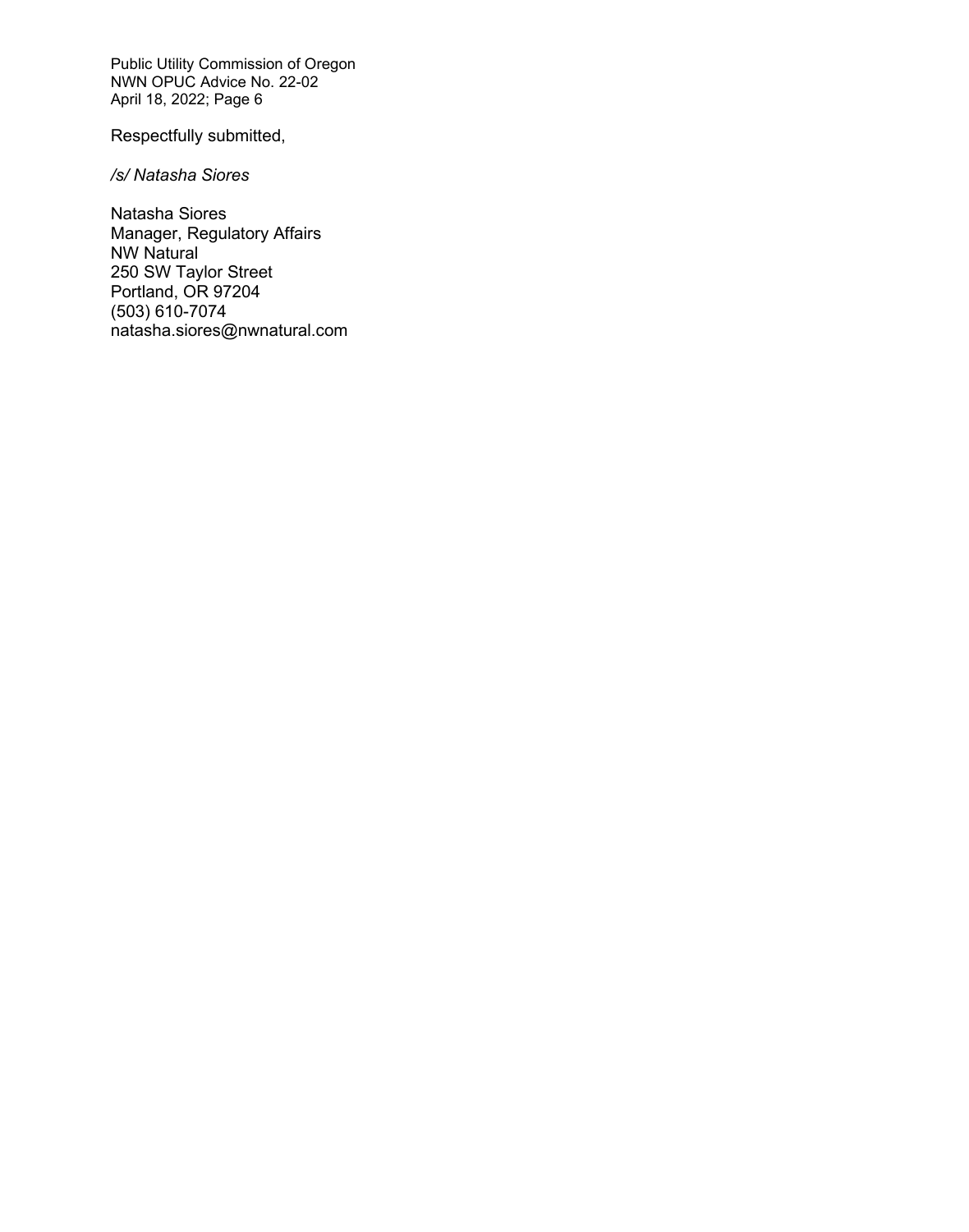Public Utility Commission of Oregon NWN OPUC Advice No. 22-02 April 18, 2022; Page 6

Respectfully submitted,

*/s/ Natasha Siores*

Natasha Siores Manager, Regulatory Affairs NW Natural 250 SW Taylor Street Portland, OR 97204 (503) 610-7074 natasha.siores@nwnatural.com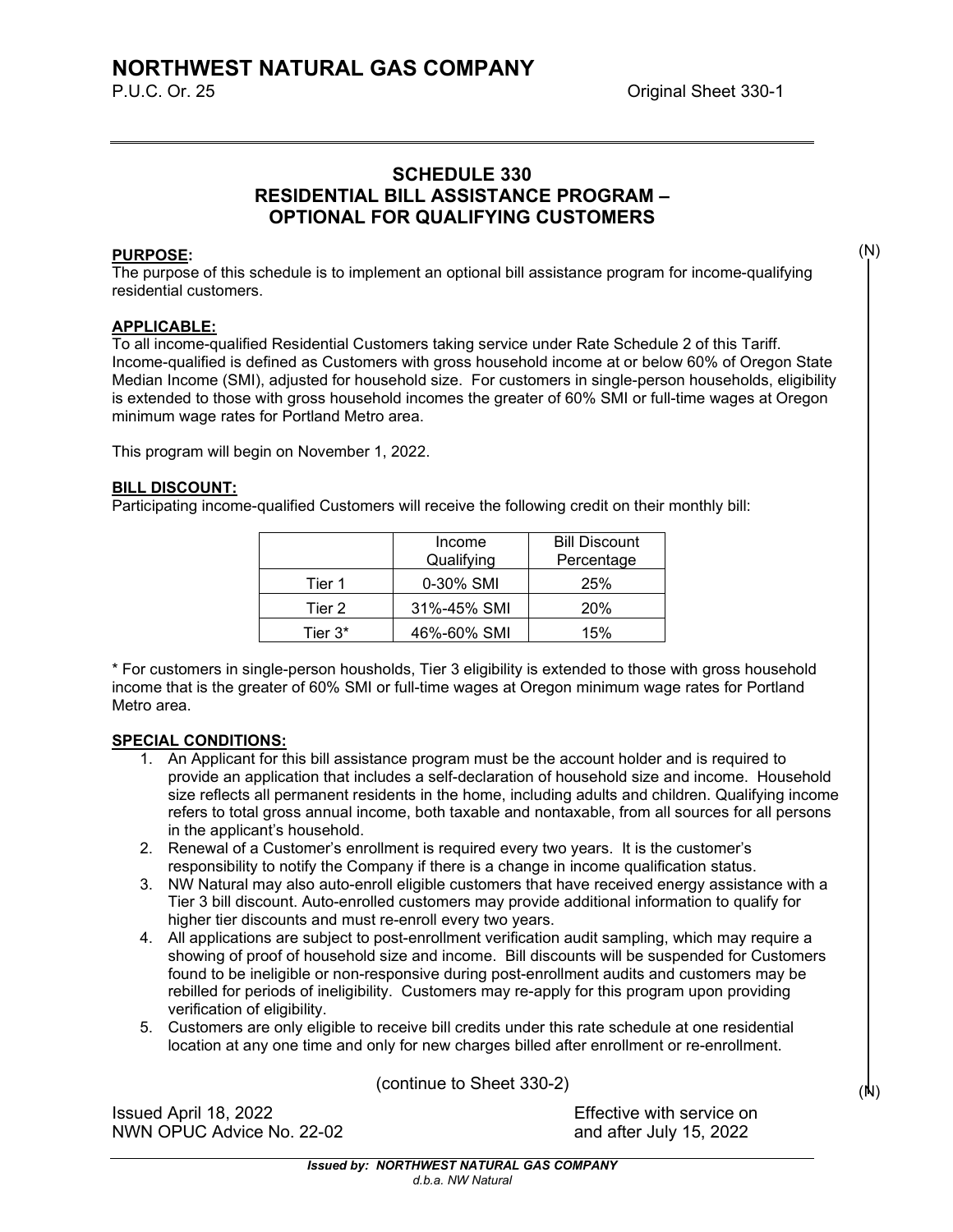# **SCHEDULE 330 RESIDENTIAL BILL ASSISTANCE PROGRAM – OPTIONAL FOR QUALIFYING CUSTOMERS**

#### **PURPOSE:**

The purpose of this schedule is to implement an optional bill assistance program for income-qualifying residential customers.

#### **APPLICABLE:**

To all income-qualified Residential Customers taking service under Rate Schedule 2 of this Tariff. Income-qualified is defined as Customers with gross household income at or below 60% of Oregon State Median Income (SMI), adjusted for household size. For customers in single-person households, eligibility is extended to those with gross household incomes the greater of 60% SMI or full-time wages at Oregon minimum wage rates for Portland Metro area.

This program will begin on November 1, 2022.

#### **BILL DISCOUNT:**

Participating income-qualified Customers will receive the following credit on their monthly bill:

|            | Income<br>Qualifying | <b>Bill Discount</b><br>Percentage |
|------------|----------------------|------------------------------------|
| Tier 1     | 0-30% SMI            | 25%                                |
| Tier 2     | 31%-45% SMI          | <b>20%</b>                         |
| Tier $3^*$ | 46%-60% SMI          | 15%                                |

\* For customers in single-person housholds, Tier 3 eligibility is extended to those with gross household income that is the greater of 60% SMI or full-time wages at Oregon minimum wage rates for Portland Metro area.

#### **SPECIAL CONDITIONS:**

- 1. An Applicant for this bill assistance program must be the account holder and is required to provide an application that includes a self-declaration of household size and income. Household size reflects all permanent residents in the home, including adults and children. Qualifying income refers to total gross annual income, both taxable and nontaxable, from all sources for all persons in the applicant's household.
- 2. Renewal of a Customer's enrollment is required every two years. It is the customer's responsibility to notify the Company if there is a change in income qualification status.
- 3. NW Natural may also auto-enroll eligible customers that have received energy assistance with a Tier 3 bill discount. Auto-enrolled customers may provide additional information to qualify for higher tier discounts and must re-enroll every two years.
- 4. All applications are subject to post-enrollment verification audit sampling, which may require a showing of proof of household size and income. Bill discounts will be suspended for Customers found to be ineligible or non-responsive during post-enrollment audits and customers may be rebilled for periods of ineligibility. Customers may re-apply for this program upon providing verification of eligibility.
- 5. Customers are only eligible to receive bill credits under this rate schedule at one residential location at any one time and only for new charges billed after enrollment or re-enrollment.

(continue to Sheet 330-2)

Issued April 18, 2022 Effective with service on NWN OPUC Advice No. 22-02 **and after July 15, 2022** 

(N)

(N)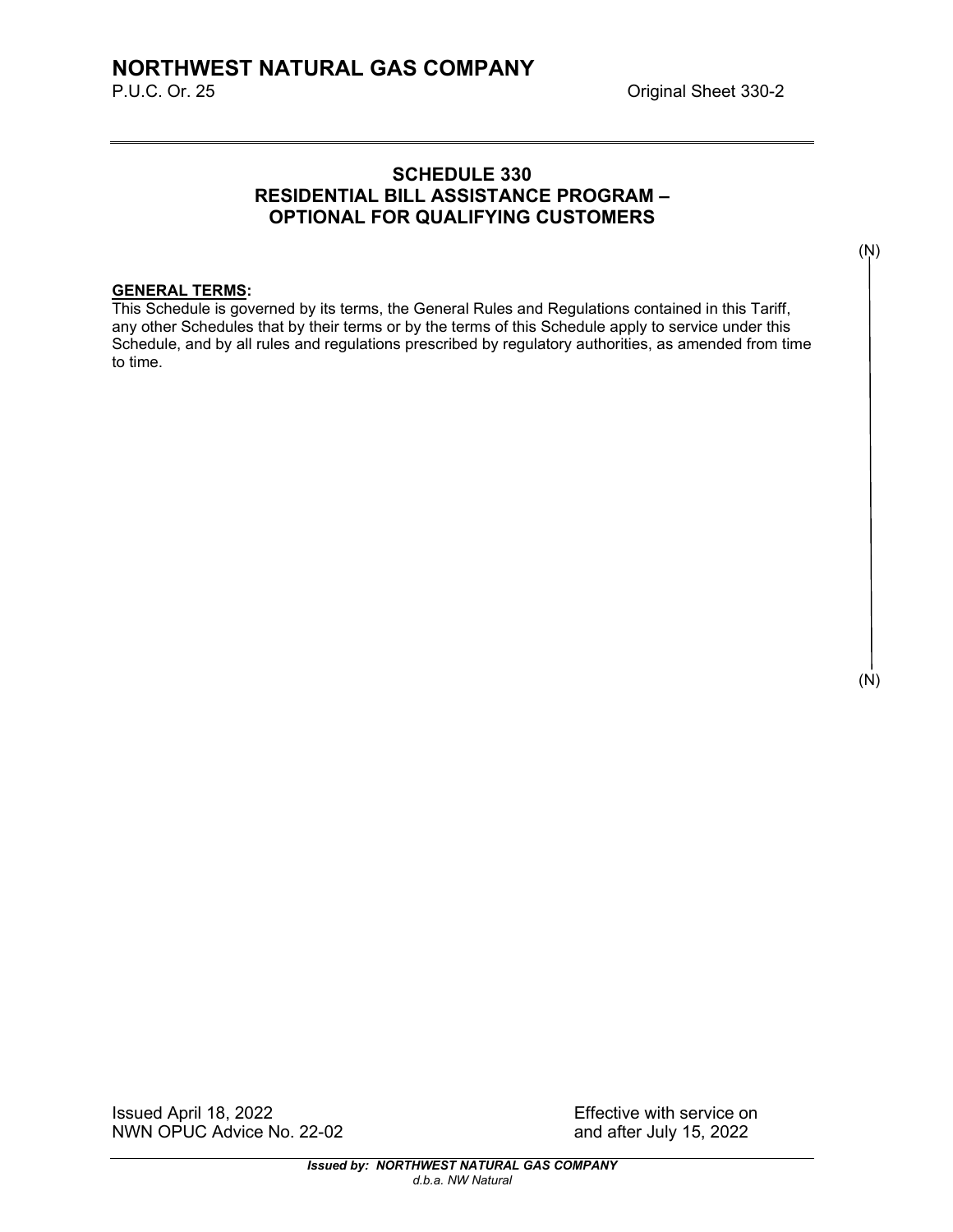# **SCHEDULE 330 RESIDENTIAL BILL ASSISTANCE PROGRAM – OPTIONAL FOR QUALIFYING CUSTOMERS**

# **GENERAL TERMS:**

This Schedule is governed by its terms, the General Rules and Regulations contained in this Tariff, any other Schedules that by their terms or by the terms of this Schedule apply to service under this Schedule, and by all rules and regulations prescribed by regulatory authorities, as amended from time to time.

(N)

(N)

Issued April 18, 2022 Effective with service on NWN OPUC Advice No. 22-02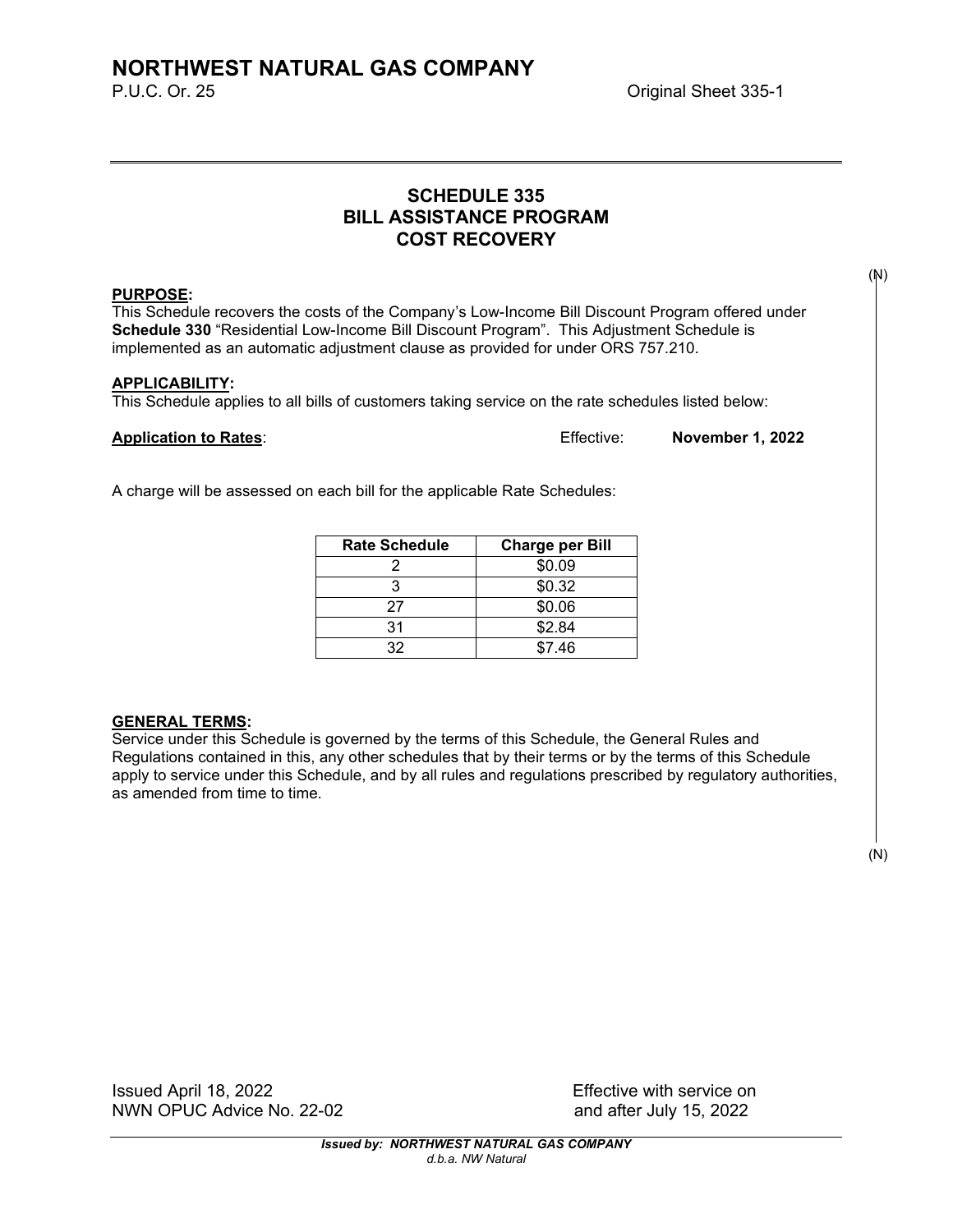# **SCHEDULE 335 BILL ASSISTANCE PROGRAM COST RECOVERY**

#### **PURPOSE:**

This Schedule recovers the costs of the Company's Low-Income Bill Discount Program offered under **Schedule 330** "Residential Low-Income Bill Discount Program". This Adjustment Schedule is implemented as an automatic adjustment clause as provided for under ORS 757.210.

#### **APPLICABILITY:**

This Schedule applies to all bills of customers taking service on the rate schedules listed below:

**Application to Rates**: Effective: **November 1, 2022**

A charge will be assessed on each bill for the applicable Rate Schedules:

| <b>Rate Schedule</b> | <b>Charge per Bill</b> |
|----------------------|------------------------|
|                      | \$0.09                 |
|                      | \$0.32                 |
| 27                   | \$0.06                 |
| 31                   | \$2.84                 |
| 32                   | \$7.46                 |

#### **GENERAL TERMS:**

Service under this Schedule is governed by the terms of this Schedule, the General Rules and Regulations contained in this, any other schedules that by their terms or by the terms of this Schedule apply to service under this Schedule, and by all rules and regulations prescribed by regulatory authorities, as amended from time to time.

(N)

Issued April 18, 2022 Effective with service on NWN OPUC Advice No. 22-02 and after July 15, 2022